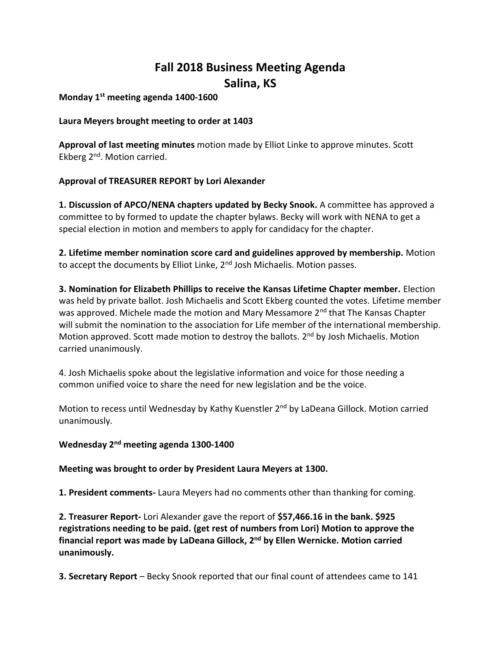# **Fall 2018 Business Meeting Agenda Salina, KS**

**Monday 1st meeting agenda 1400-1600**

## **Laura Meyers brought meeting to order at 1403**

**Approval of last meeting minutes** motion made by Elliot Linke to approve minutes. Scott Ekberg 2nd. Motion carried.

## **Approval of TREASURER REPORT by Lori Alexander**

**1. Discussion of APCO/NENA chapters updated by Becky Snook.** A committee has approved a committee to by formed to update the chapter bylaws. Becky will work with NENA to get a special election in motion and members to apply for candidacy for the chapter.

**2. Lifetime member nomination score card and guidelines approved by membership.** Motion to accept the documents by Elliot Linke, 2<sup>nd</sup> Josh Michaelis. Motion passes.

**3. Nomination for Elizabeth Phillips to receive the Kansas Lifetime Chapter member.** Election was held by private ballot. Josh Michaelis and Scott Ekberg counted the votes. Lifetime member was approved. Michele made the motion and Mary Messamore 2<sup>nd</sup> that The Kansas Chapter will submit the nomination to the association for Life member of the international membership. Motion approved. Scott made motion to destroy the ballots. 2<sup>nd</sup> by Josh Michaelis. Motion carried unanimously.

4. Josh Michaelis spoke about the legislative information and voice for those needing a common unified voice to share the need for new legislation and be the voice.

Motion to recess until Wednesday by Kathy Kuenstler 2<sup>nd</sup> by LaDeana Gillock. Motion carried unanimously.

#### **Wednesday 2nd meeting agenda 1300-1400**

#### **Meeting was brought to order by President Laura Meyers at 1300.**

**1. President comments-** Laura Meyers had no comments other than thanking for coming.

**2. Treasurer Report-** Lori Alexander gave the report of **\$57,466.16 in the bank. \$925 registrations needing to be paid. (get rest of numbers from Lori) Motion to approve the financial report was made by LaDeana Gillock, 2nd by Ellen Wernicke. Motion carried unanimously.**

**3. Secretary Report** – Becky Snook reported that our final count of attendees came to 141